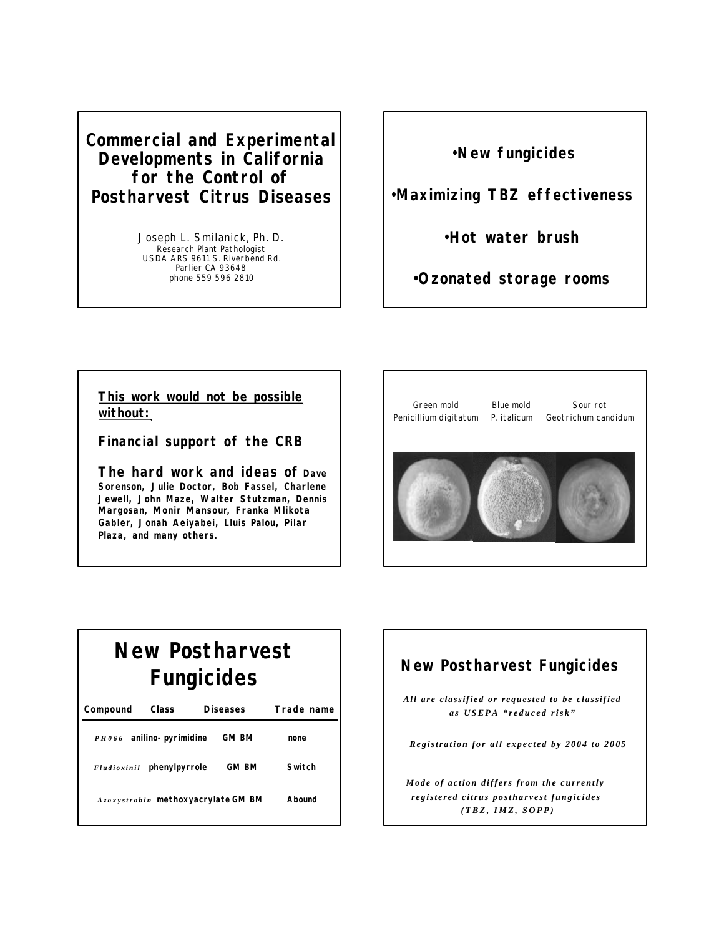*Commercial and Experimental Developments in California for the Control of Postharvest Citrus Diseases*

> *Joseph L. Smilanick, Ph. D. Research Plant Pathologist USDA ARS 9611 S. Riverbend Rd. Parlier CA 93648 phone 559 596 2810*

•*New fungicides*

•*Maximizing TBZ effectiveness*

•*Hot water brush*

•*Ozonated storage rooms*

### *This work would not be possible without:*

*Financial support of the CRB*

*The hard work and ideas of Dave Sorenson, Julie Doctor, Bob Fassel, Charlene Jewell, John Maze, Walter Stutzman, Dennis Margosan, Monir Mansour, Franka Mlikota Gabler, Jonah Aeiyabei, Lluis Palou, Pilar Plaza, and many others.*



## *New Postharvest Fungicides*

| Compound    | Class                              | <b>Diseases</b> | Trade name    |
|-------------|------------------------------------|-----------------|---------------|
|             | PH066 anilino-pyrimidine           | GM BM           | none          |
| Fludioxinil | phenylpyrrole                      | <b>GM BM</b>    | Switch        |
|             | Azoxystrobin methoxyacrylate GM BM |                 | <b>Abound</b> |

### *New Postharvest Fungicides*

*All are classified or requested to be classified as USEPA "reduced risk"*

*Registration for all expected by 2004 to 2005*

*Mode of action differs from the currently registered citrus postharvest fungicides (TBZ, IMZ, SOPP)*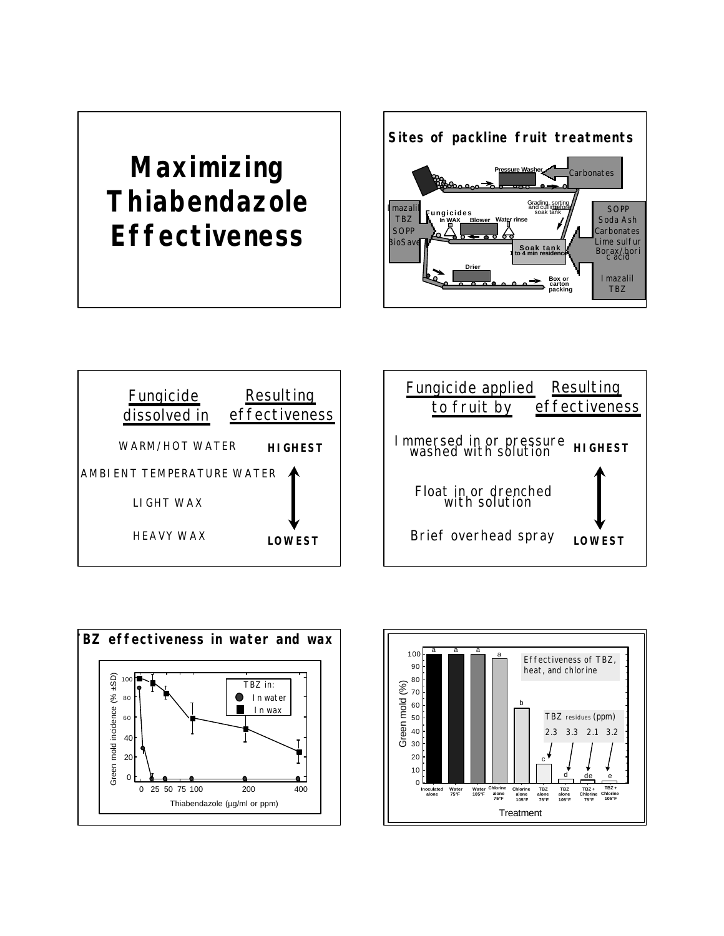





**SOPP** 

Imazalil **packing** TBZ



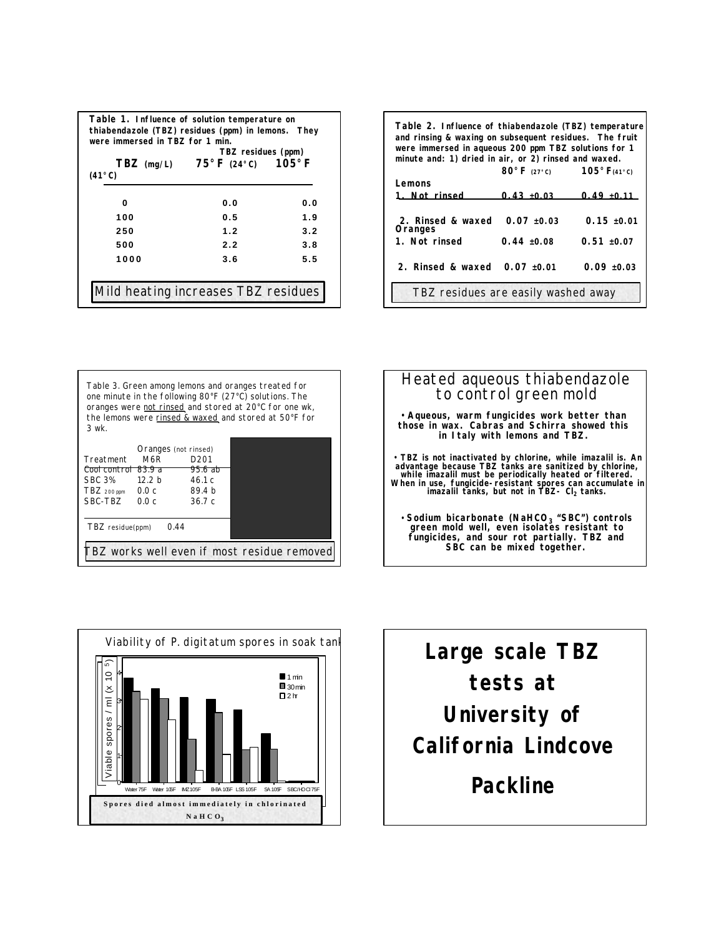| Table 1. Influence of solution temperature on<br>thiabendazole (TBZ) residues (ppm) in lemons. They<br>were immersed in TB7 for 1 min. |                                                             |     |  |
|----------------------------------------------------------------------------------------------------------------------------------------|-------------------------------------------------------------|-----|--|
|                                                                                                                                        | TBZ residues (ppm)                                          |     |  |
|                                                                                                                                        | TBZ (mg/L) $75^{\circ}$ F (24 $^{\circ}$ C) $105^{\circ}$ F |     |  |
| $(41^{\circ}C)$                                                                                                                        |                                                             |     |  |
|                                                                                                                                        |                                                             |     |  |
| 0                                                                                                                                      | 0.0                                                         | 0.0 |  |
| 100                                                                                                                                    | 0.5                                                         | 1.9 |  |
| 250                                                                                                                                    | 1.2                                                         | 3.2 |  |
| 500                                                                                                                                    | 2.2                                                         | 3.8 |  |
| 1000                                                                                                                                   | 3.6                                                         | 5.5 |  |
| Mild heating increases TBZ residues                                                                                                    |                                                             |     |  |

| Table 2. Influence of thiabendazole (TBZ) temperature<br>and rinsing & waxing on subsequent residues. The fruit<br>were immersed in aqueous 200 ppm TBZ solutions for 1<br>minute and: 1) dried in air, or 2) rinsed and waxed. |                          |               |  |  |
|---------------------------------------------------------------------------------------------------------------------------------------------------------------------------------------------------------------------------------|--------------------------|---------------|--|--|
|                                                                                                                                                                                                                                 | 80°F (27°C) 105°F (41°C) |               |  |  |
| Lemons                                                                                                                                                                                                                          |                          |               |  |  |
| 1. Not rinsed                                                                                                                                                                                                                   | $0.43 + 0.03$            | $0.49 + 0.11$ |  |  |
| 2. Rinsed & waxed<br>Oranges                                                                                                                                                                                                    | $0.07 \pm 0.03$          | $0.15 + 0.01$ |  |  |
| 1. Not rinsed                                                                                                                                                                                                                   | $0.44 + 0.08$            | $0.51 + 0.07$ |  |  |
| 2. Rinsed & waxed $0.07 \pm 0.01$                                                                                                                                                                                               |                          | $0.09 + 0.03$ |  |  |
| TBZ residues are easily washed away                                                                                                                                                                                             |                          |               |  |  |

Table 3. Green among lemons and oranges treated for one minute in the following 80°F (27°C) solutions. The oranges were *not rinsed* and stored at 20°C for one wk, the lemons were *rinsed & waxed* and stored at 50°F for 3 wk.

|                                                    | Oranges (not rinsed) |                   |  |  |
|----------------------------------------------------|----------------------|-------------------|--|--|
| Treatment                                          | M6R                  | D201              |  |  |
| Cool control 83.9 a                                |                      | 95.6 ab           |  |  |
| <b>SBC 3%</b>                                      | 12 2 h               | 46.1c             |  |  |
| $TBZ$ 200 ppm                                      | 0.0 c                | 89.4 <sub>b</sub> |  |  |
| SBC-TBZ                                            | 0.0 c                | 36.7c             |  |  |
|                                                    |                      |                   |  |  |
| $TBZ$ residue(ppm)                                 | 0.44                 |                   |  |  |
| <b>TBZ</b> works well even if most residue removed |                      |                   |  |  |





*Large scale TBZ tests at University of California Lindcove* 

*Packline*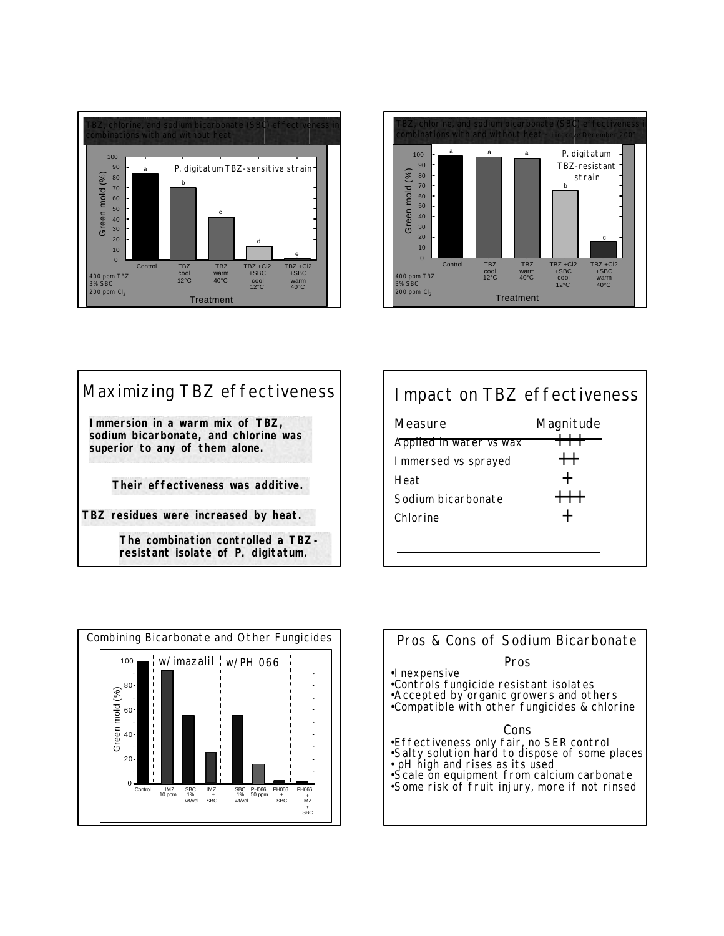



| Maximizing TBZ effectiveness                                                                              |
|-----------------------------------------------------------------------------------------------------------|
| Immersion in a warm mix of TBZ,<br>sodium bicarbonate, and chlorine was<br>superior to any of them alone. |
| Their effectiveness was additive.                                                                         |
| TBZ residues were increased by heat.                                                                      |
| The combination controlled a TBZ-<br>resistant isolate of P. digitatum.                                   |

## Impact on TBZ effectiveness

| Measure                 | Magnitude       |
|-------------------------|-----------------|
| Applied in water vs wax | ┯┯┯             |
| I mmersed vs sprayed    | $^{\mathrm{+}}$ |
| Heat                    | $\div$          |
| Sodium bicarbonate      | $+ + +$         |
| Chlorine                | ┿               |
|                         |                 |
|                         |                 |



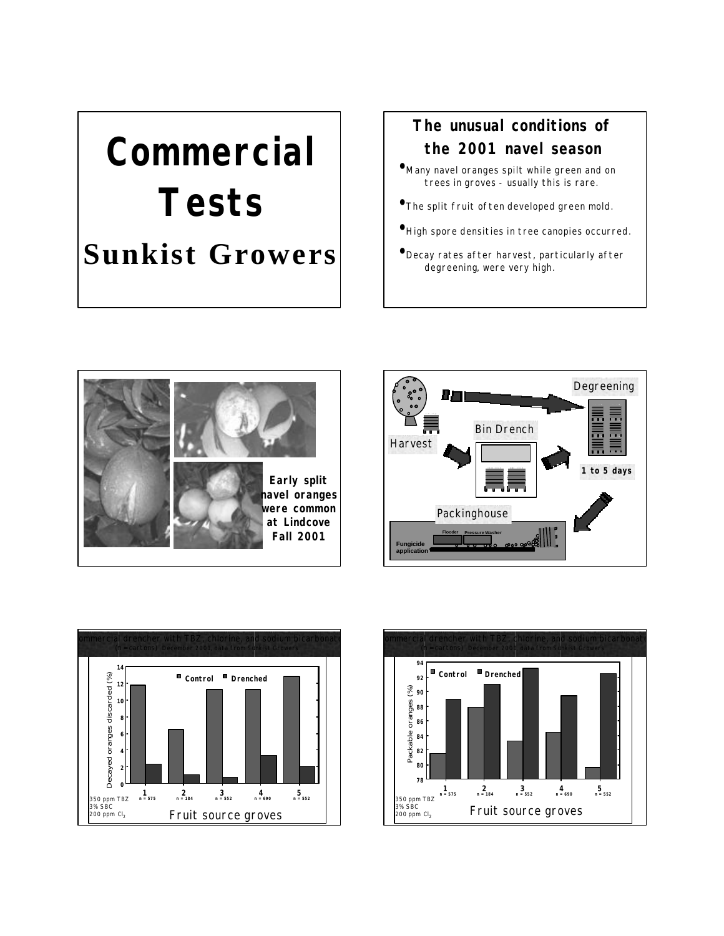# **Commercial Tests Sunkist Growers**

## *The unusual conditions of the 2001 navel season*

•Many navel oranges spilt while green and on trees in groves - usually this is rare.

- •The split fruit often developed green mold.
- •High spore densities in tree canopies occurred.
- •Decay rates after harvest, particularly after degreening, were very high.







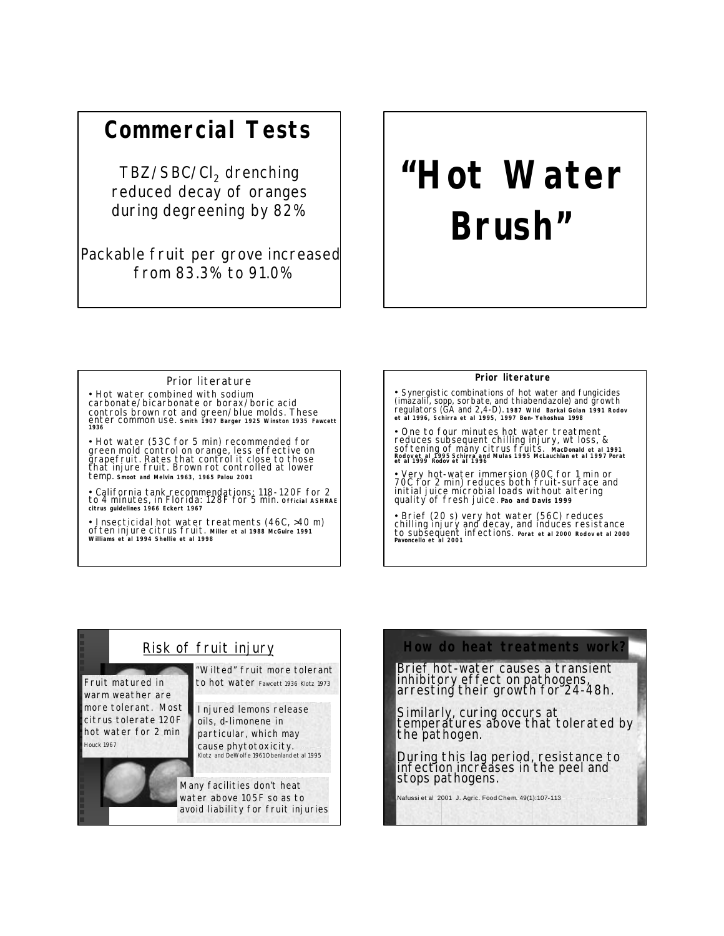## **Commercial Tests**

TBZ/SBC/Cl<sub>2</sub> drenching reduced decay of oranges during degreening by 82%

Packable fruit per grove increased from 83.3% to 91.0%

# **"Hot Water Brush"**

### *Prior literature*

• Hot water combined with sodium carbonate/bicarbonate or borax/boric acid controls brown rot and green/blue molds. These enter common use. **Smith 1907 Barger 1925 Winston 1935 Fawcett 1936**

• Hot water (53C for 5 min) recommended for green mold control on orange, less effective on grapefruit. Rates that control it close to those that injure fruit. Brown rot controlled at lower temp. **Smoot and Melvin 1963, 1965 Palou 2001**

• California tank recommendations: 118- 120F for 2 to 4 minutes, in Florida: 128F for 5 min. **Official ASHRAE citrus guidelines 1966 Eckert 1967**

• Insecticidal hot water treatments (46C, >40 m) often injure citrus fruit. **Miller et al 1988 McGuire 1991 Williams et al 1994 Shellie et al 1998**

#### *Prior literature*

Synergistic combinations of hot water and fungicides (imazalil, sopp, sorbate, and thiabendazole) and growth regulators (GA and 2,4-D). **1987 Wild Barkai Golan 1991 Rodov et al 1996, Schirra et al 1995, 1997 Ben-Yehoshua 1998**

• One to four minutes hot water treatment<br>reduces subsequent chilling injury, wt loss, &<br>softening of many citrus fruits. MacDonald et al 1991<br>Rodovet al 1995 Schirra and Mulas 1995 McLauchlan et al 1997 Porat<br>et al 1999 R

• Very hot-water immersion (80C for 1 min or 70C for 2 min) reduces both fruit-surface and initial juice microbial loads without altering quality of fresh juice. **Pao and Davis 1999**

• Brief (20 s) very hot water (56C) reduces chilling injury and decay, and induces resistance to subsequent infections. **Porat et al 2000 Rodov et al 2000 Pavoncello et al 2001**

#### Risk of fruit injury 'Wilted" fruit more tolerant Fruit matured in to hot water Fawcett 1936 Klotz 1973 warm weather are more tolerant. Most citrus tolerate 120F hot water for 2 min Houck 1967 Injured lemons release oils, d-limonene in particular, which may cause phytotoxicity. Klotz and DeWolfe 1961Obenlandet al 1995 Many facilities don't heat water above 105F so as to

avoid liability for fruit injuries

Brief hot-water causes a transient inhibitory effect on pathogens, arresting their growth for 24-48h. Similarly, curing occurs at

*How do heat treatments work?*

temperatures above that tolerated by the pathogen.

During this lag period, resistance to infection increases in the peel and stops pathogens.

Nafussi et al 2001 J. Agric. Food Chem. 49(1):107-113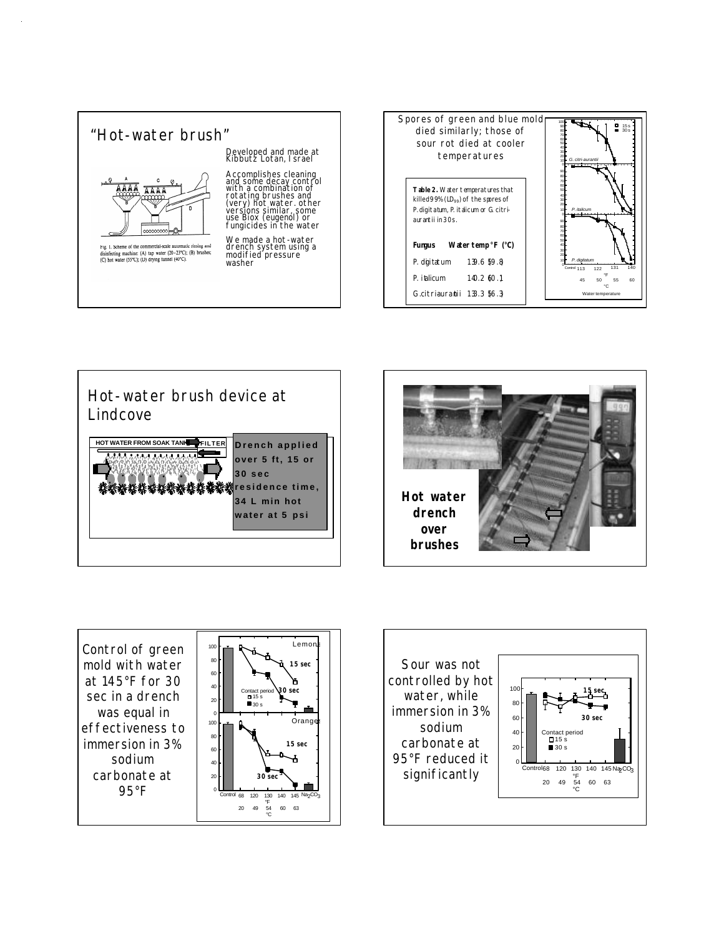









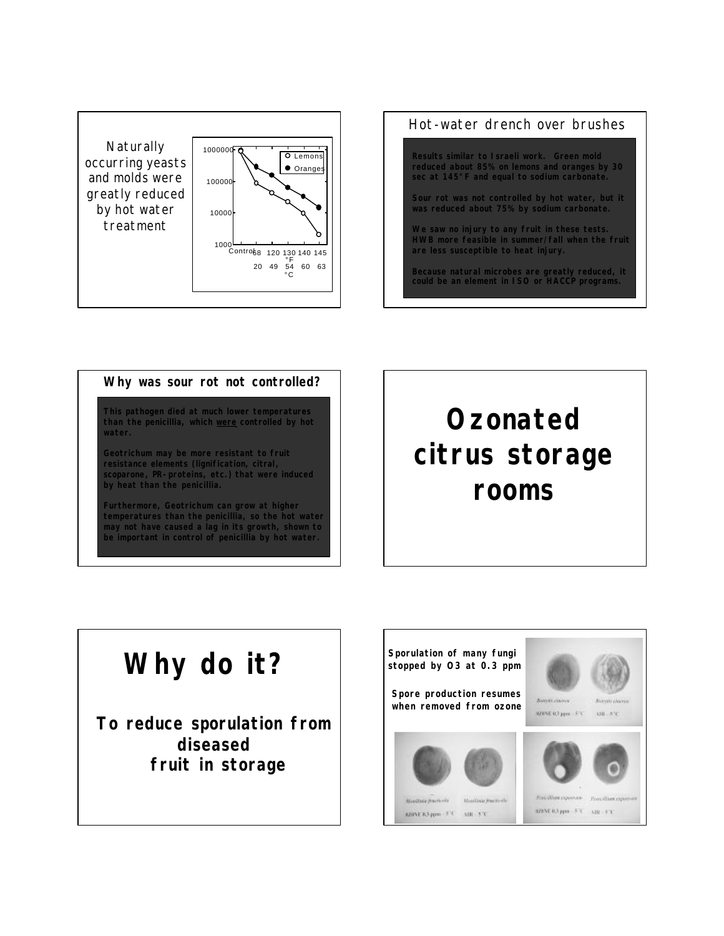



### **Why was sour rot not controlled?**

**This pathogen died at much lower temperatures than the penicillia, which were controlled by hot water.**

*Geotrichum* **may be more resistant to fruit resistance elements (lignification, citral, scoparone, PR-proteins, etc.) that were induced by heat than the** *penicillia***.**

**Furthermore,** *Geotrichum* **can grow at higher temperatures than the penicillia, so the hot water may not have caused a lag in its growth, shown to be important in control of penicillia by hot water.**

## *Ozonated citrus storage rooms*

## *Why do it?*

*To reduce sporulation from diseased fruit in storage*

*Sporulation of many fungi stopped by O3 at 0.3 ppm Spore production resumes* Kimitecianos Rotritici discrimi *when removed from ozone***RZINE 0.7 ppm - 5/4**  $MR-570$ Priville opening **Huellier framerin Installaby Precision** Possibles inputs RONE 03 ppm - 5 % - SIR - 4 °C EDIVE R3 ppm - 3°C AIR 5°C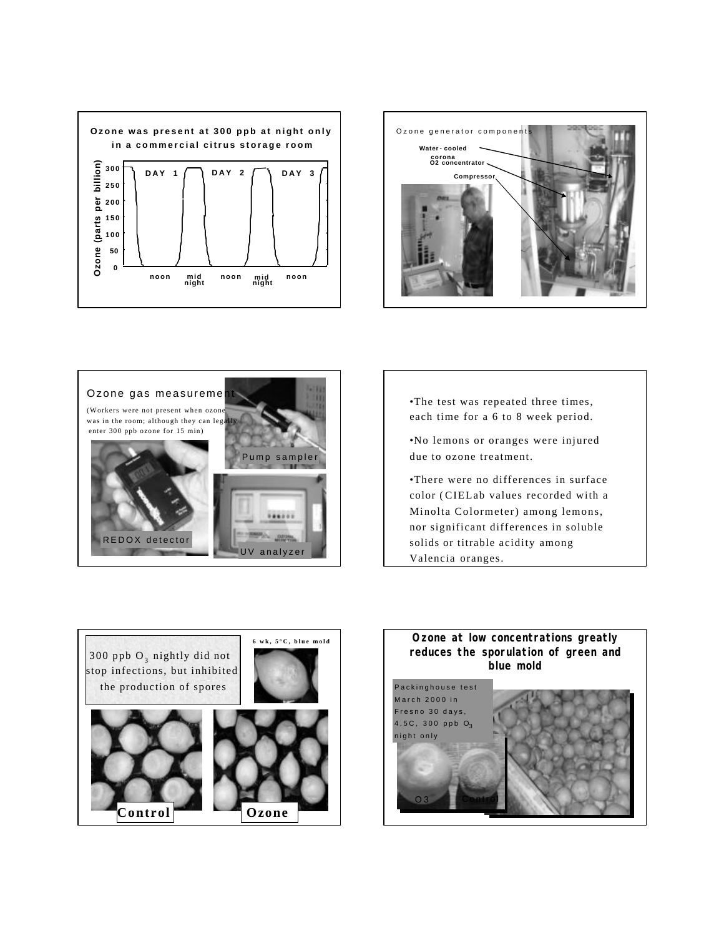







•No lemons or oranges were injured due to ozone treatment.

•There were no differences in surface color ( CIELab values recorded with a Minolta Colormeter) among lemons, nor significant differences in soluble solids or titrable acidity among Valencia oranges.